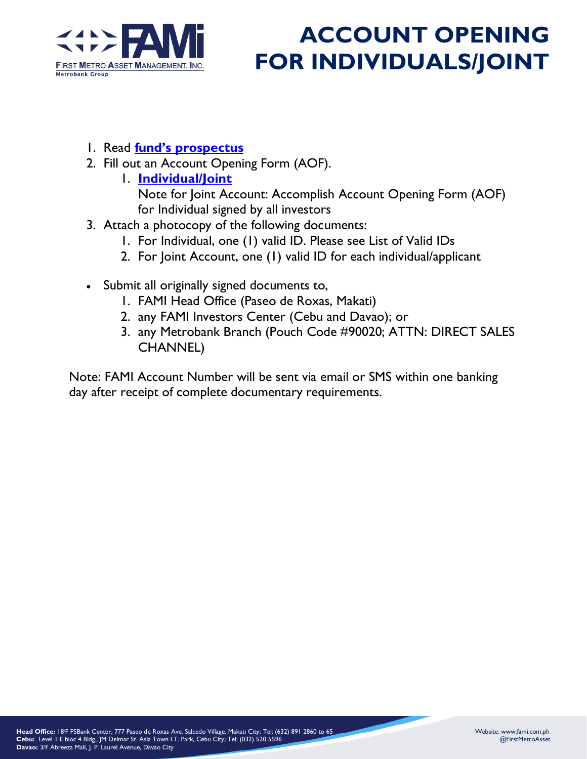

## **ACCOUNT OPENING FOR INDIVIDUALS/JOINT**

- 1. Read **[fund's prospectus](file://///downloads)**
- 2. Fill out an Account Opening Form (AOF).
	- 1. **[Individual/Joint](https://fami.com.ph/wp-content/uploads/2020/10/AOF-Individual-2020-1.pdf)**

Note for Joint Account: Accomplish Account Opening Form (AOF) for Individual signed by all investors

- 3. Attach a photocopy of the following documents:
	- 1. For Individual, one (1) valid ID. Please see List of Valid IDs
	- 2. For Joint Account, one (1) valid ID for each individual/applicant
- Submit all originally signed documents to,
	- 1. FAMI Head Office (Paseo de Roxas, Makati)
	- 2. any FAMI Investors Center (Cebu and Davao); or
	- 3. any Metrobank Branch (Pouch Code #90020; ATTN: DIRECT SALES CHANNEL)

Note: FAMI Account Number will be sent via email or SMS within one banking day after receipt of complete documentary requirements.